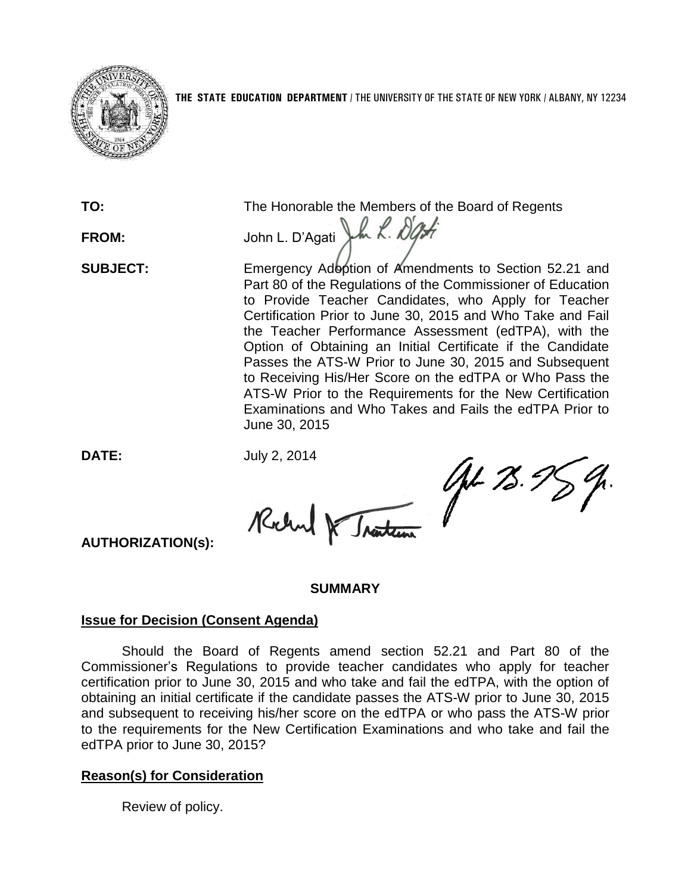

FROM: John L. D'Agati Jun R. *D'Agh* 

**TO:** The Honorable the Members of the Board of Regents

**SUBJECT:** Emergency Adoption of Amendments to Section 52.21 and Part 80 of the Regulations of the Commissioner of Education to Provide Teacher Candidates, who Apply for Teacher Certification Prior to June 30, 2015 and Who Take and Fail the Teacher Performance Assessment (edTPA), with the Option of Obtaining an Initial Certificate if the Candidate Passes the ATS-W Prior to June 30, 2015 and Subsequent to Receiving His/Her Score on the edTPA or Who Pass the ATS-W Prior to the Requirements for the New Certification Examinations and Who Takes and Fails the edTPA Prior to June 30, 2015

AL 75.98

**DATE:** July 2, 2014

Richard

**AUTHORIZATION(s):**

## **SUMMARY**

# **Issue for Decision (Consent Agenda)**

Should the Board of Regents amend section 52.21 and Part 80 of the Commissioner's Regulations to provide teacher candidates who apply for teacher certification prior to June 30, 2015 and who take and fail the edTPA, with the option of obtaining an initial certificate if the candidate passes the ATS-W prior to June 30, 2015 and subsequent to receiving his/her score on the edTPA or who pass the ATS-W prior to the requirements for the New Certification Examinations and who take and fail the edTPA prior to June 30, 2015?

# **Reason(s) for Consideration**

Review of policy.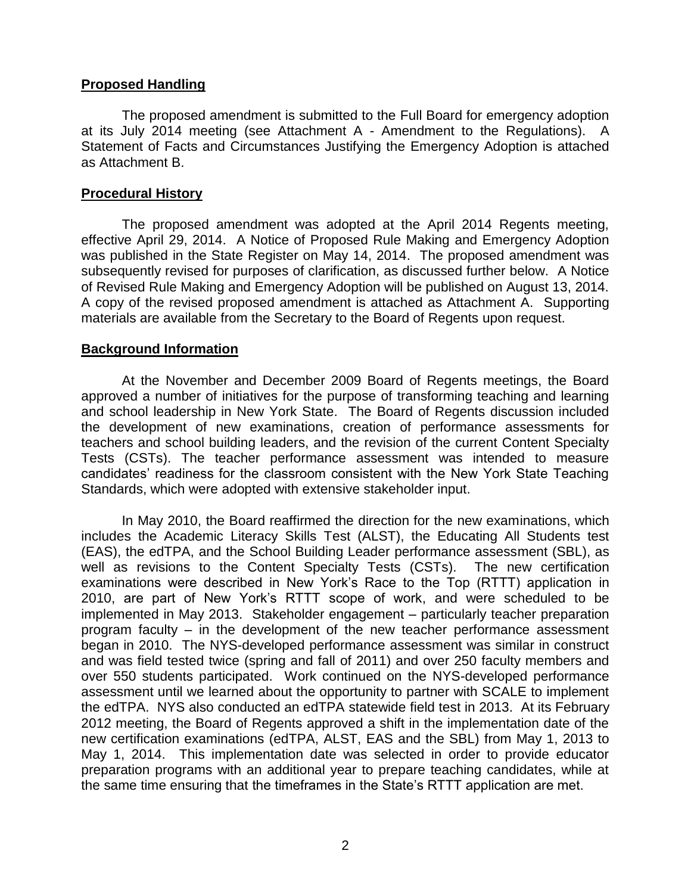## **Proposed Handling**

The proposed amendment is submitted to the Full Board for emergency adoption at its July 2014 meeting (see Attachment A - Amendment to the Regulations). A Statement of Facts and Circumstances Justifying the Emergency Adoption is attached as Attachment B.

## **Procedural History**

The proposed amendment was adopted at the April 2014 Regents meeting, effective April 29, 2014. A Notice of Proposed Rule Making and Emergency Adoption was published in the State Register on May 14, 2014. The proposed amendment was subsequently revised for purposes of clarification, as discussed further below. A Notice of Revised Rule Making and Emergency Adoption will be published on August 13, 2014. A copy of the revised proposed amendment is attached as Attachment A. Supporting materials are available from the Secretary to the Board of Regents upon request.

## **Background Information**

At the November and December 2009 Board of Regents meetings, the Board approved a number of initiatives for the purpose of transforming teaching and learning and school leadership in New York State. The Board of Regents discussion included the development of new examinations, creation of performance assessments for teachers and school building leaders, and the revision of the current Content Specialty Tests (CSTs). The teacher performance assessment was intended to measure candidates' readiness for the classroom consistent with the New York State Teaching Standards, which were adopted with extensive stakeholder input.

In May 2010, the Board reaffirmed the direction for the new examinations, which includes the Academic Literacy Skills Test (ALST), the Educating All Students test (EAS), the edTPA, and the School Building Leader performance assessment (SBL), as well as revisions to the Content Specialty Tests (CSTs). The new certification examinations were described in New York's Race to the Top (RTTT) application in 2010, are part of New York's RTTT scope of work, and were scheduled to be implemented in May 2013. Stakeholder engagement – particularly teacher preparation program faculty – in the development of the new teacher performance assessment began in 2010. The NYS-developed performance assessment was similar in construct and was field tested twice (spring and fall of 2011) and over 250 faculty members and over 550 students participated. Work continued on the NYS-developed performance assessment until we learned about the opportunity to partner with SCALE to implement the edTPA. NYS also conducted an edTPA statewide field test in 2013. At its February 2012 meeting, the Board of Regents approved a shift in the implementation date of the new certification examinations (edTPA, ALST, EAS and the SBL) from May 1, 2013 to May 1, 2014. This implementation date was selected in order to provide educator preparation programs with an additional year to prepare teaching candidates, while at the same time ensuring that the timeframes in the State's RTTT application are met.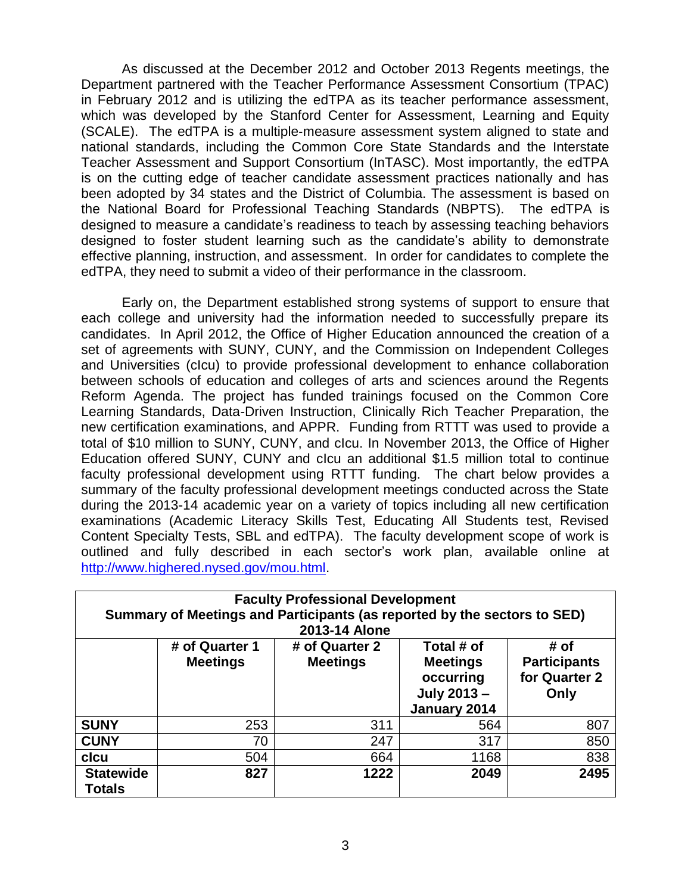As discussed at the December 2012 and October 2013 Regents meetings, the Department partnered with the Teacher Performance Assessment Consortium (TPAC) in February 2012 and is utilizing the edTPA as its teacher performance assessment, which was developed by the Stanford Center for Assessment, Learning and Equity (SCALE). The edTPA is a multiple‐measure assessment system aligned to state and national standards, including the Common Core State Standards and the Interstate Teacher Assessment and Support Consortium (InTASC). Most importantly, the edTPA is on the cutting edge of teacher candidate assessment practices nationally and has been adopted by 34 states and the District of Columbia. The assessment is based on the National Board for Professional Teaching Standards (NBPTS). The edTPA is designed to measure a candidate's readiness to teach by assessing teaching behaviors designed to foster student learning such as the candidate's ability to demonstrate effective planning, instruction, and assessment. In order for candidates to complete the edTPA, they need to submit a video of their performance in the classroom.

Early on, the Department established strong systems of support to ensure that each college and university had the information needed to successfully prepare its candidates. In April 2012, the Office of Higher Education announced the creation of a set of agreements with SUNY, CUNY, and the Commission on Independent Colleges and Universities (cIcu) to provide professional development to enhance collaboration between schools of education and colleges of arts and sciences around the Regents Reform Agenda. The project has funded trainings focused on the Common Core Learning Standards, Data-Driven Instruction, Clinically Rich Teacher Preparation, the new certification examinations, and APPR. Funding from RTTT was used to provide a total of \$10 million to SUNY, CUNY, and cIcu. In November 2013, the Office of Higher Education offered SUNY, CUNY and cIcu an additional \$1.5 million total to continue faculty professional development using RTTT funding. The chart below provides a summary of the faculty professional development meetings conducted across the State during the 2013-14 academic year on a variety of topics including all new certification examinations (Academic Literacy Skills Test, Educating All Students test, Revised Content Specialty Tests, SBL and edTPA). The faculty development scope of work is outlined and fully described in each sector's work plan, available online at [http://www.highered.nysed.gov/mou.html.](http://www.highered.nysed.gov/mou.html)

| <b>Faculty Professional Development</b><br>Summary of Meetings and Participants (as reported by the sectors to SED)<br>2013-14 Alone |                                   |                                   |                                                                                  |                                                      |
|--------------------------------------------------------------------------------------------------------------------------------------|-----------------------------------|-----------------------------------|----------------------------------------------------------------------------------|------------------------------------------------------|
|                                                                                                                                      | # of Quarter 1<br><b>Meetings</b> | # of Quarter 2<br><b>Meetings</b> | Total # of<br><b>Meetings</b><br>occurring<br><b>July 2013 -</b><br>January 2014 | # of<br><b>Participants</b><br>for Quarter 2<br>Only |
| <b>SUNY</b>                                                                                                                          | 253                               | 311                               | 564                                                                              | 807                                                  |
| <b>CUNY</b>                                                                                                                          | 70                                | 247                               | 317                                                                              | 850                                                  |
| clcu                                                                                                                                 | 504                               | 664                               | 1168                                                                             | 838                                                  |
| <b>Statewide</b><br><b>Totals</b>                                                                                                    | 827                               | 1222                              | 2049                                                                             | 2495                                                 |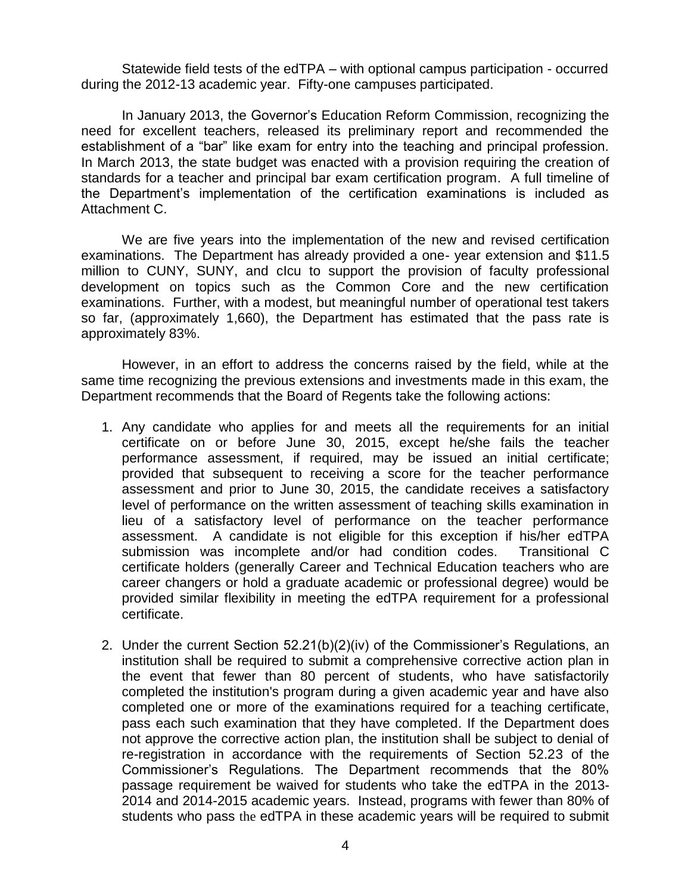Statewide field tests of the edTPA – with optional campus participation - occurred during the 2012-13 academic year. Fifty-one campuses participated.

In January 2013, the Governor's Education Reform Commission, recognizing the need for excellent teachers, released its preliminary report and recommended the establishment of a "bar" like exam for entry into the teaching and principal profession. In March 2013, the state budget was enacted with a provision requiring the creation of standards for a teacher and principal bar exam certification program. A full timeline of the Department's implementation of the certification examinations is included as Attachment C.

We are five years into the implementation of the new and revised certification examinations. The Department has already provided a one- year extension and \$11.5 million to CUNY, SUNY, and cIcu to support the provision of faculty professional development on topics such as the Common Core and the new certification examinations. Further, with a modest, but meaningful number of operational test takers so far, (approximately 1,660), the Department has estimated that the pass rate is approximately 83%.

However, in an effort to address the concerns raised by the field, while at the same time recognizing the previous extensions and investments made in this exam, the Department recommends that the Board of Regents take the following actions:

- 1. Any candidate who applies for and meets all the requirements for an initial certificate on or before June 30, 2015, except he/she fails the teacher performance assessment, if required, may be issued an initial certificate; provided that subsequent to receiving a score for the teacher performance assessment and prior to June 30, 2015, the candidate receives a satisfactory level of performance on the written assessment of teaching skills examination in lieu of a satisfactory level of performance on the teacher performance assessment. A candidate is not eligible for this exception if his/her edTPA submission was incomplete and/or had condition codes. Transitional C certificate holders (generally Career and Technical Education teachers who are career changers or hold a graduate academic or professional degree) would be provided similar flexibility in meeting the edTPA requirement for a professional certificate.
- 2. Under the current Section 52.21(b)(2)(iv) of the Commissioner's Regulations, an institution shall be required to submit a comprehensive corrective action plan in the event that fewer than 80 percent of students, who have satisfactorily completed the institution's program during a given academic year and have also completed one or more of the examinations required for a teaching certificate, pass each such examination that they have completed. If the Department does not approve the corrective action plan, the institution shall be subject to denial of re-registration in accordance with the requirements of Section 52.23 of the Commissioner's Regulations. The Department recommends that the 80% passage requirement be waived for students who take the edTPA in the 2013- 2014 and 2014-2015 academic years. Instead, programs with fewer than 80% of students who pass the edTPA in these academic years will be required to submit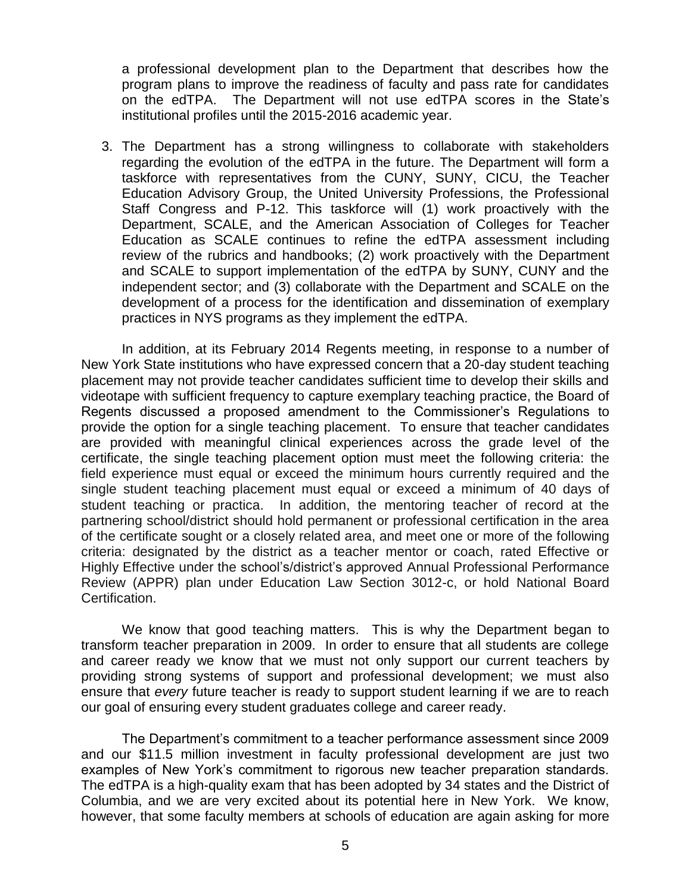a professional development plan to the Department that describes how the program plans to improve the readiness of faculty and pass rate for candidates on the edTPA. The Department will not use edTPA scores in the State's institutional profiles until the 2015-2016 academic year.

3. The Department has a strong willingness to collaborate with stakeholders regarding the evolution of the edTPA in the future. The Department will form a taskforce with representatives from the CUNY, SUNY, CICU, the Teacher Education Advisory Group, the United University Professions, the Professional Staff Congress and P-12. This taskforce will (1) work proactively with the Department, SCALE, and the American Association of Colleges for Teacher Education as SCALE continues to refine the edTPA assessment including review of the rubrics and handbooks; (2) work proactively with the Department and SCALE to support implementation of the edTPA by SUNY, CUNY and the independent sector; and (3) collaborate with the Department and SCALE on the development of a process for the identification and dissemination of exemplary practices in NYS programs as they implement the edTPA.

In addition, at its February 2014 Regents meeting, in response to a number of New York State institutions who have expressed concern that a 20-day student teaching placement may not provide teacher candidates sufficient time to develop their skills and videotape with sufficient frequency to capture exemplary teaching practice, the Board of Regents discussed a proposed amendment to the Commissioner's Regulations to provide the option for a single teaching placement. To ensure that teacher candidates are provided with meaningful clinical experiences across the grade level of the certificate, the single teaching placement option must meet the following criteria: the field experience must equal or exceed the minimum hours currently required and the single student teaching placement must equal or exceed a minimum of 40 days of student teaching or practica. In addition, the mentoring teacher of record at the partnering school/district should hold permanent or professional certification in the area of the certificate sought or a closely related area, and meet one or more of the following criteria: designated by the district as a teacher mentor or coach, rated Effective or Highly Effective under the school's/district's approved Annual Professional Performance Review (APPR) plan under Education Law Section 3012-c, or hold National Board Certification.

We know that good teaching matters. This is why the Department began to transform teacher preparation in 2009. In order to ensure that all students are college and career ready we know that we must not only support our current teachers by providing strong systems of support and professional development; we must also ensure that *every* future teacher is ready to support student learning if we are to reach our goal of ensuring every student graduates college and career ready.

The Department's commitment to a teacher performance assessment since 2009 and our \$11.5 million investment in faculty professional development are just two examples of New York's commitment to rigorous new teacher preparation standards. The edTPA is a high-quality exam that has been adopted by 34 states and the District of Columbia, and we are very excited about its potential here in New York. We know, however, that some faculty members at schools of education are again asking for more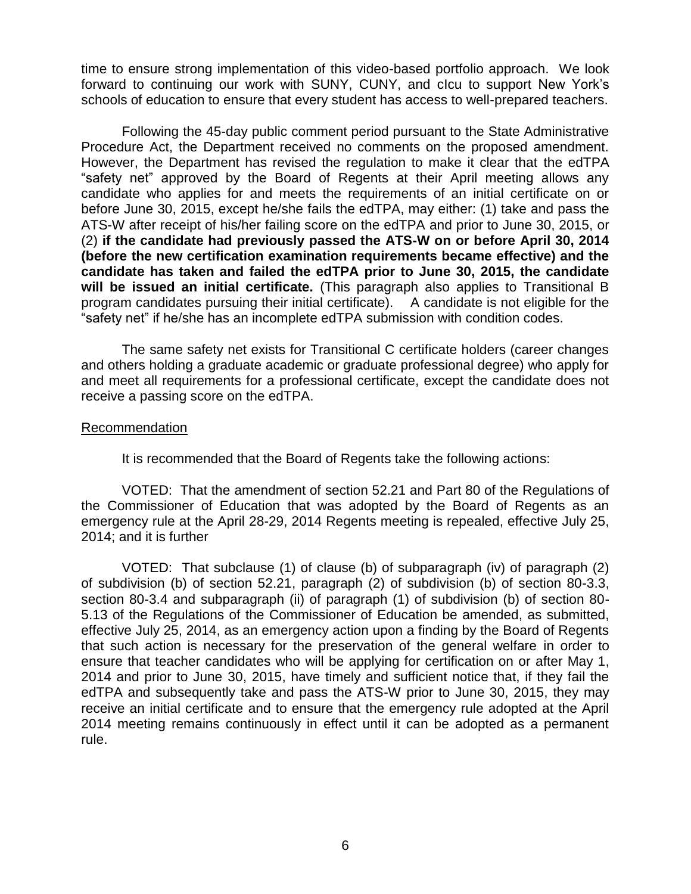time to ensure strong implementation of this video-based portfolio approach. We look forward to continuing our work with SUNY, CUNY, and cIcu to support New York's schools of education to ensure that every student has access to well-prepared teachers.

Following the 45-day public comment period pursuant to the State Administrative Procedure Act, the Department received no comments on the proposed amendment. However, the Department has revised the regulation to make it clear that the edTPA "safety net" approved by the Board of Regents at their April meeting allows any candidate who applies for and meets the requirements of an initial certificate on or before June 30, 2015, except he/she fails the edTPA, may either: (1) take and pass the ATS-W after receipt of his/her failing score on the edTPA and prior to June 30, 2015, or (2) **if the candidate had previously passed the ATS-W on or before April 30, 2014 (before the new certification examination requirements became effective) and the candidate has taken and failed the edTPA prior to June 30, 2015, the candidate will be issued an initial certificate.** (This paragraph also applies to Transitional B program candidates pursuing their initial certificate). A candidate is not eligible for the "safety net" if he/she has an incomplete edTPA submission with condition codes.

The same safety net exists for Transitional C certificate holders (career changes and others holding a graduate academic or graduate professional degree) who apply for and meet all requirements for a professional certificate, except the candidate does not receive a passing score on the edTPA.

## **Recommendation**

It is recommended that the Board of Regents take the following actions:

VOTED: That the amendment of section 52.21 and Part 80 of the Regulations of the Commissioner of Education that was adopted by the Board of Regents as an emergency rule at the April 28-29, 2014 Regents meeting is repealed, effective July 25, 2014; and it is further

VOTED: That subclause (1) of clause (b) of subparagraph (iv) of paragraph (2) of subdivision (b) of section 52.21, paragraph (2) of subdivision (b) of section 80-3.3, section 80-3.4 and subparagraph (ii) of paragraph (1) of subdivision (b) of section 80- 5.13 of the Regulations of the Commissioner of Education be amended, as submitted, effective July 25, 2014, as an emergency action upon a finding by the Board of Regents that such action is necessary for the preservation of the general welfare in order to ensure that teacher candidates who will be applying for certification on or after May 1, 2014 and prior to June 30, 2015, have timely and sufficient notice that, if they fail the edTPA and subsequently take and pass the ATS-W prior to June 30, 2015, they may receive an initial certificate and to ensure that the emergency rule adopted at the April 2014 meeting remains continuously in effect until it can be adopted as a permanent rule.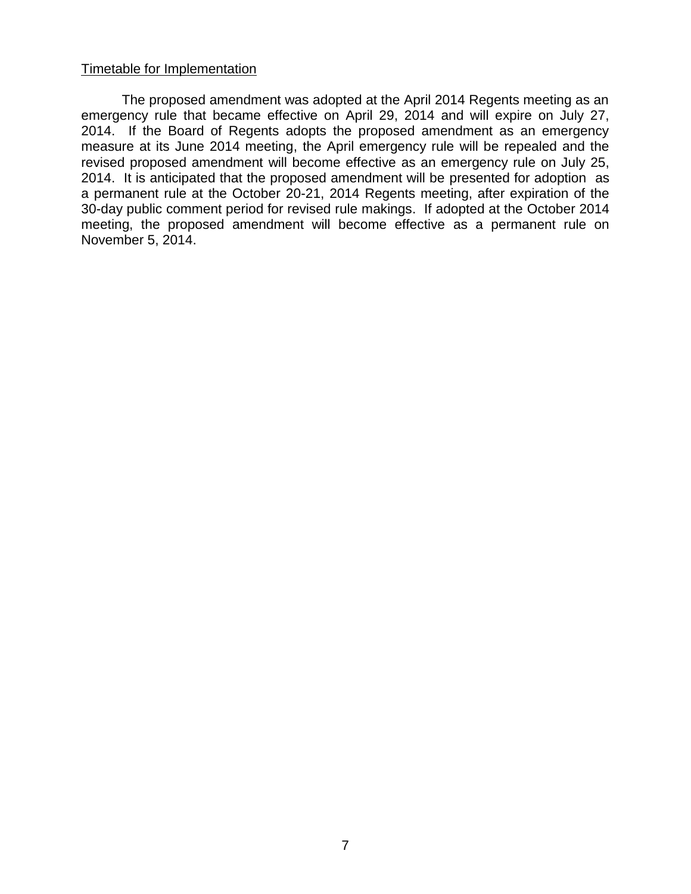## Timetable for Implementation

The proposed amendment was adopted at the April 2014 Regents meeting as an emergency rule that became effective on April 29, 2014 and will expire on July 27, 2014. If the Board of Regents adopts the proposed amendment as an emergency measure at its June 2014 meeting, the April emergency rule will be repealed and the revised proposed amendment will become effective as an emergency rule on July 25, 2014. It is anticipated that the proposed amendment will be presented for adoption as a permanent rule at the October 20-21, 2014 Regents meeting, after expiration of the 30-day public comment period for revised rule makings. If adopted at the October 2014 meeting, the proposed amendment will become effective as a permanent rule on November 5, 2014.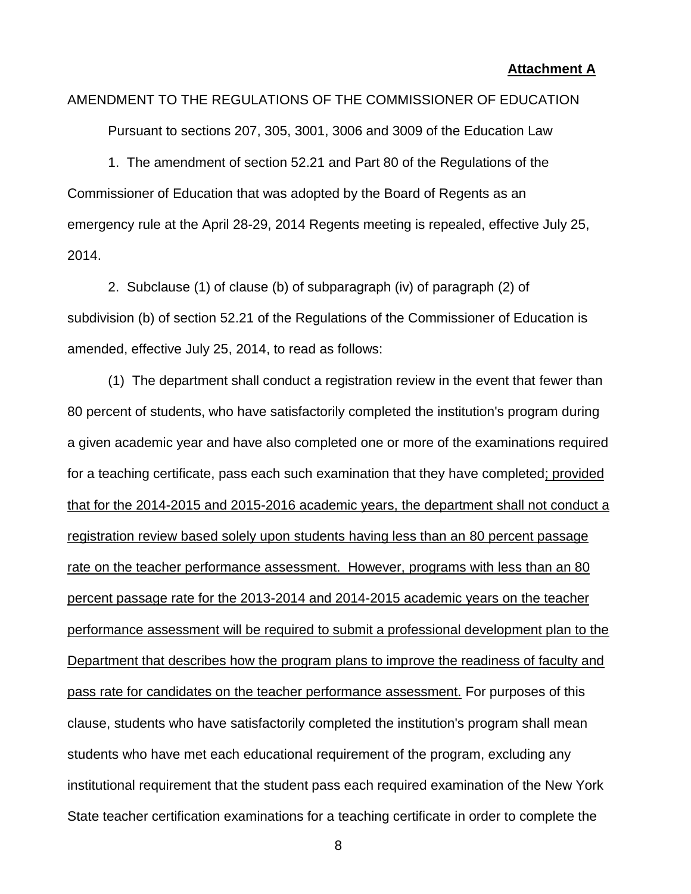# AMENDMENT TO THE REGULATIONS OF THE COMMISSIONER OF EDUCATION

Pursuant to sections 207, 305, 3001, 3006 and 3009 of the Education Law

1. The amendment of section 52.21 and Part 80 of the Regulations of the Commissioner of Education that was adopted by the Board of Regents as an emergency rule at the April 28-29, 2014 Regents meeting is repealed, effective July 25, 2014.

2. Subclause (1) of clause (b) of subparagraph (iv) of paragraph (2) of subdivision (b) of section 52.21 of the Regulations of the Commissioner of Education is amended, effective July 25, 2014, to read as follows:

(1) The department shall conduct a registration review in the event that fewer than 80 percent of students, who have satisfactorily completed the institution's program during a given academic year and have also completed one or more of the examinations required for a teaching certificate, pass each such examination that they have completed; provided that for the 2014-2015 and 2015-2016 academic years, the department shall not conduct a registration review based solely upon students having less than an 80 percent passage rate on the teacher performance assessment. However, programs with less than an 80 percent passage rate for the 2013-2014 and 2014-2015 academic years on the teacher performance assessment will be required to submit a professional development plan to the Department that describes how the program plans to improve the readiness of faculty and pass rate for candidates on the teacher performance assessment. For purposes of this clause, students who have satisfactorily completed the institution's program shall mean students who have met each educational requirement of the program, excluding any institutional requirement that the student pass each required examination of the New York State teacher certification examinations for a teaching certificate in order to complete the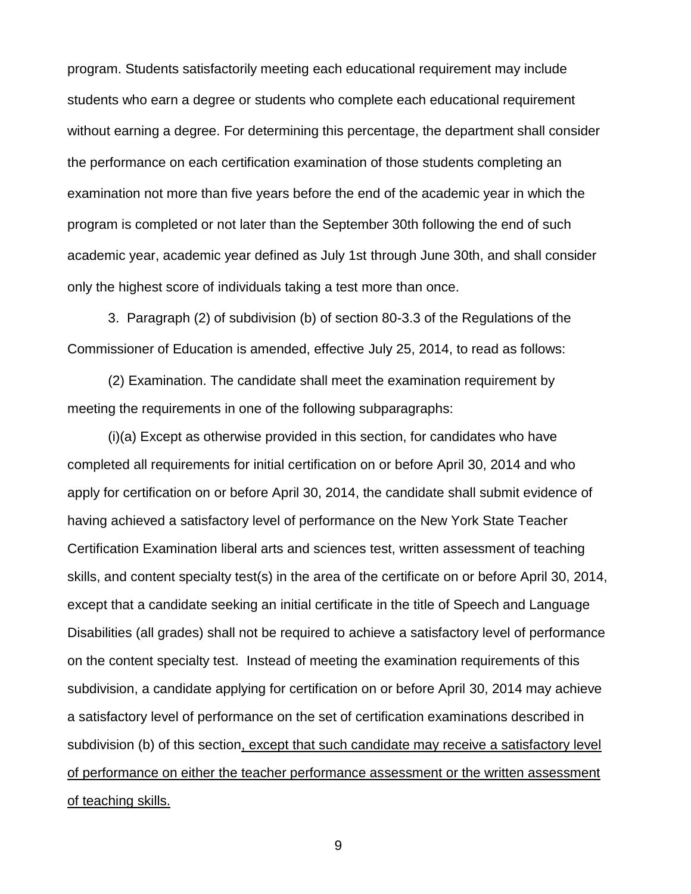program. Students satisfactorily meeting each educational requirement may include students who earn a degree or students who complete each educational requirement without earning a degree. For determining this percentage, the department shall consider the performance on each certification examination of those students completing an examination not more than five years before the end of the academic year in which the program is completed or not later than the September 30th following the end of such academic year, academic year defined as July 1st through June 30th, and shall consider only the highest score of individuals taking a test more than once.

3. Paragraph (2) of subdivision (b) of section 80-3.3 of the Regulations of the Commissioner of Education is amended, effective July 25, 2014, to read as follows:

(2) Examination. The candidate shall meet the examination requirement by meeting the requirements in one of the following subparagraphs:

(i)(a) Except as otherwise provided in this section, for candidates who have completed all requirements for initial certification on or before April 30, 2014 and who apply for certification on or before April 30, 2014, the candidate shall submit evidence of having achieved a satisfactory level of performance on the New York State Teacher Certification Examination liberal arts and sciences test, written assessment of teaching skills, and content specialty test(s) in the area of the certificate on or before April 30, 2014, except that a candidate seeking an initial certificate in the title of Speech and Language Disabilities (all grades) shall not be required to achieve a satisfactory level of performance on the content specialty test. Instead of meeting the examination requirements of this subdivision, a candidate applying for certification on or before April 30, 2014 may achieve a satisfactory level of performance on the set of certification examinations described in subdivision (b) of this section, except that such candidate may receive a satisfactory level of performance on either the teacher performance assessment or the written assessment of teaching skills.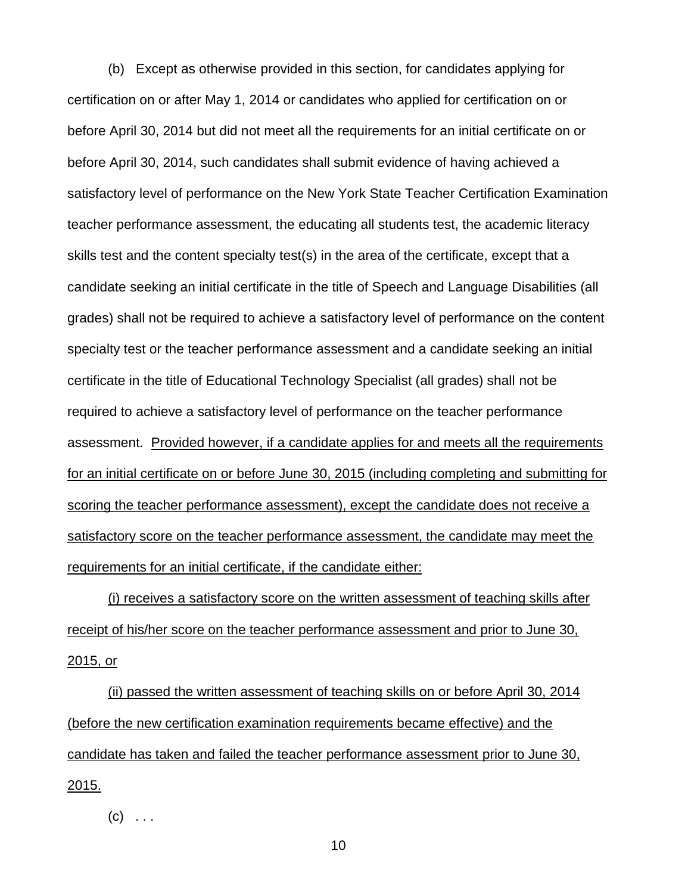(b) Except as otherwise provided in this section, for candidates applying for certification on or after May 1, 2014 or candidates who applied for certification on or before April 30, 2014 but did not meet all the requirements for an initial certificate on or before April 30, 2014, such candidates shall submit evidence of having achieved a satisfactory level of performance on the New York State Teacher Certification Examination teacher performance assessment, the educating all students test, the academic literacy skills test and the content specialty test(s) in the area of the certificate, except that a candidate seeking an initial certificate in the title of Speech and Language Disabilities (all grades) shall not be required to achieve a satisfactory level of performance on the content specialty test or the teacher performance assessment and a candidate seeking an initial certificate in the title of Educational Technology Specialist (all grades) shall not be required to achieve a satisfactory level of performance on the teacher performance assessment. Provided however, if a candidate applies for and meets all the requirements for an initial certificate on or before June 30, 2015 (including completing and submitting for scoring the teacher performance assessment), except the candidate does not receive a satisfactory score on the teacher performance assessment, the candidate may meet the requirements for an initial certificate, if the candidate either:

(i) receives a satisfactory score on the written assessment of teaching skills after receipt of his/her score on the teacher performance assessment and prior to June 30, 2015, or

(ii) passed the written assessment of teaching skills on or before April 30, 2014 (before the new certification examination requirements became effective) and the candidate has taken and failed the teacher performance assessment prior to June 30, 2015.

 $(c) \ldots$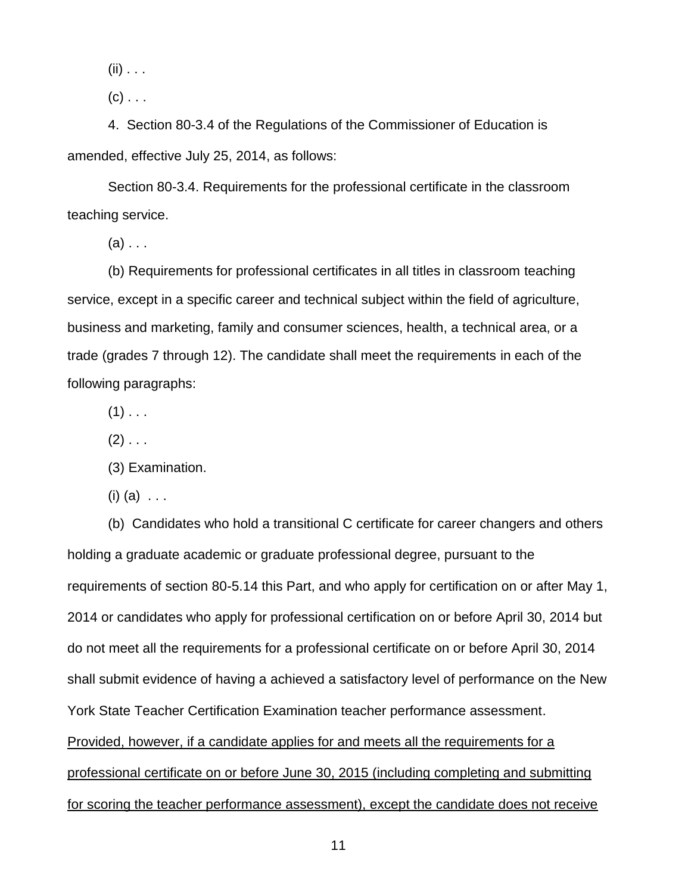$(ii) \ldots$ 

 $(c)$  . . .

4. Section 80-3.4 of the Regulations of the Commissioner of Education is amended, effective July 25, 2014, as follows:

Section 80-3.4. Requirements for the professional certificate in the classroom teaching service.

 $(a)$ ...

(b) Requirements for professional certificates in all titles in classroom teaching service, except in a specific career and technical subject within the field of agriculture, business and marketing, family and consumer sciences, health, a technical area, or a trade (grades 7 through 12). The candidate shall meet the requirements in each of the following paragraphs:

 $(1)$  . . .

 $(2)$  . . .

(3) Examination.

 $(i)$   $(a)$   $\ldots$ 

(b) Candidates who hold a transitional C certificate for career changers and others holding a graduate academic or graduate professional degree, pursuant to the requirements of section 80-5.14 this Part, and who apply for certification on or after May 1, 2014 or candidates who apply for professional certification on or before April 30, 2014 but do not meet all the requirements for a professional certificate on or before April 30, 2014 shall submit evidence of having a achieved a satisfactory level of performance on the New York State Teacher Certification Examination teacher performance assessment. Provided, however, if a candidate applies for and meets all the requirements for a professional certificate on or before June 30, 2015 (including completing and submitting for scoring the teacher performance assessment), except the candidate does not receive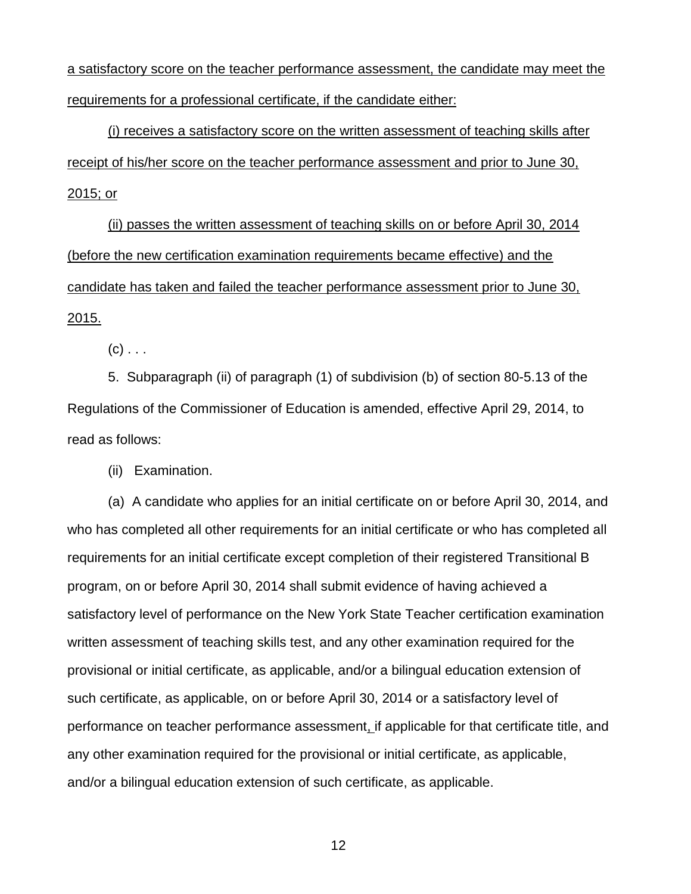a satisfactory score on the teacher performance assessment, the candidate may meet the requirements for a professional certificate, if the candidate either:

(i) receives a satisfactory score on the written assessment of teaching skills after receipt of his/her score on the teacher performance assessment and prior to June 30, 2015; or

(ii) passes the written assessment of teaching skills on or before April 30, 2014 (before the new certification examination requirements became effective) and the candidate has taken and failed the teacher performance assessment prior to June 30, 2015.

 $(c)$  . . .

5. Subparagraph (ii) of paragraph (1) of subdivision (b) of section 80-5.13 of the Regulations of the Commissioner of Education is amended, effective April 29, 2014, to read as follows:

(ii) Examination.

(a) A candidate who applies for an initial certificate on or before April 30, 2014, and who has completed all other requirements for an initial certificate or who has completed all requirements for an initial certificate except completion of their registered Transitional B program, on or before April 30, 2014 shall submit evidence of having achieved a satisfactory level of performance on the New York State Teacher certification examination written assessment of teaching skills test, and any other examination required for the provisional or initial certificate, as applicable, and/or a bilingual education extension of such certificate, as applicable, on or before April 30, 2014 or a satisfactory level of performance on teacher performance assessment, if applicable for that certificate title, and any other examination required for the provisional or initial certificate, as applicable, and/or a bilingual education extension of such certificate, as applicable.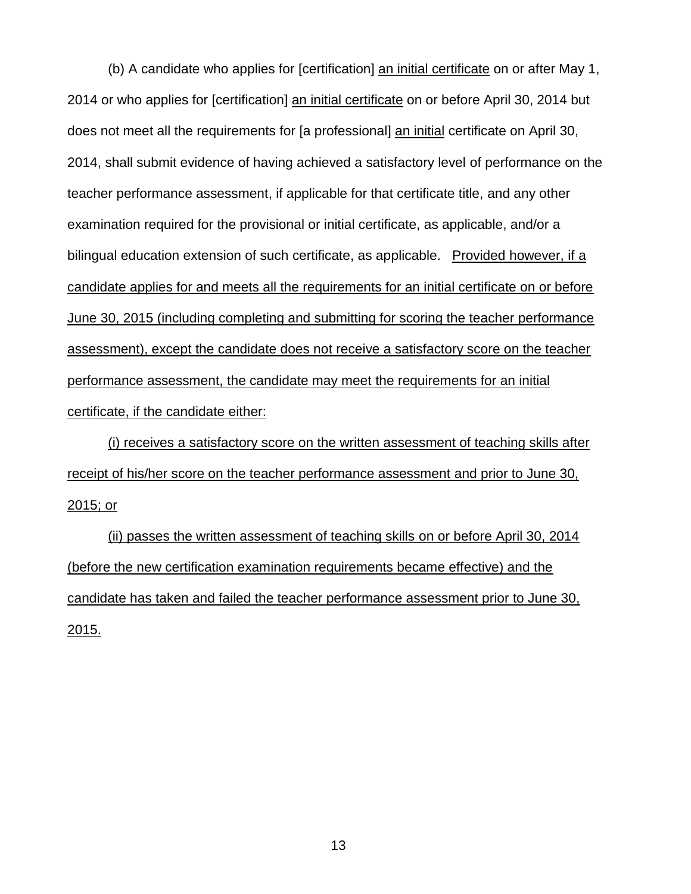(b) A candidate who applies for [certification] an initial certificate on or after May 1, 2014 or who applies for [certification] an initial certificate on or before April 30, 2014 but does not meet all the requirements for [a professional] an initial certificate on April 30, 2014, shall submit evidence of having achieved a satisfactory level of performance on the teacher performance assessment, if applicable for that certificate title, and any other examination required for the provisional or initial certificate, as applicable, and/or a bilingual education extension of such certificate, as applicable. Provided however, if a candidate applies for and meets all the requirements for an initial certificate on or before June 30, 2015 (including completing and submitting for scoring the teacher performance assessment), except the candidate does not receive a satisfactory score on the teacher performance assessment, the candidate may meet the requirements for an initial certificate, if the candidate either:

(i) receives a satisfactory score on the written assessment of teaching skills after receipt of his/her score on the teacher performance assessment and prior to June 30, 2015; or

(ii) passes the written assessment of teaching skills on or before April 30, 2014 (before the new certification examination requirements became effective) and the candidate has taken and failed the teacher performance assessment prior to June 30, 2015.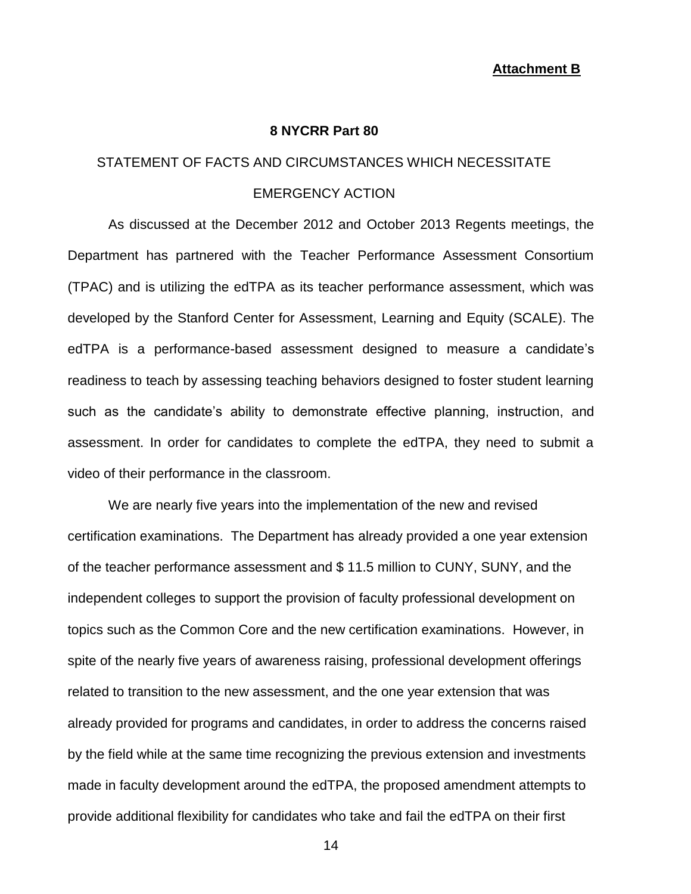### **Attachment B**

#### **8 NYCRR Part 80**

### STATEMENT OF FACTS AND CIRCUMSTANCES WHICH NECESSITATE

## EMERGENCY ACTION

As discussed at the December 2012 and October 2013 Regents meetings, the Department has partnered with the Teacher Performance Assessment Consortium (TPAC) and is utilizing the edTPA as its teacher performance assessment, which was developed by the Stanford Center for Assessment, Learning and Equity (SCALE). The edTPA is a performance-based assessment designed to measure a candidate's readiness to teach by assessing teaching behaviors designed to foster student learning such as the candidate's ability to demonstrate effective planning, instruction, and assessment. In order for candidates to complete the edTPA, they need to submit a video of their performance in the classroom.

We are nearly five years into the implementation of the new and revised certification examinations. The Department has already provided a one year extension of the teacher performance assessment and \$ 11.5 million to CUNY, SUNY, and the independent colleges to support the provision of faculty professional development on topics such as the Common Core and the new certification examinations. However, in spite of the nearly five years of awareness raising, professional development offerings related to transition to the new assessment, and the one year extension that was already provided for programs and candidates, in order to address the concerns raised by the field while at the same time recognizing the previous extension and investments made in faculty development around the edTPA, the proposed amendment attempts to provide additional flexibility for candidates who take and fail the edTPA on their first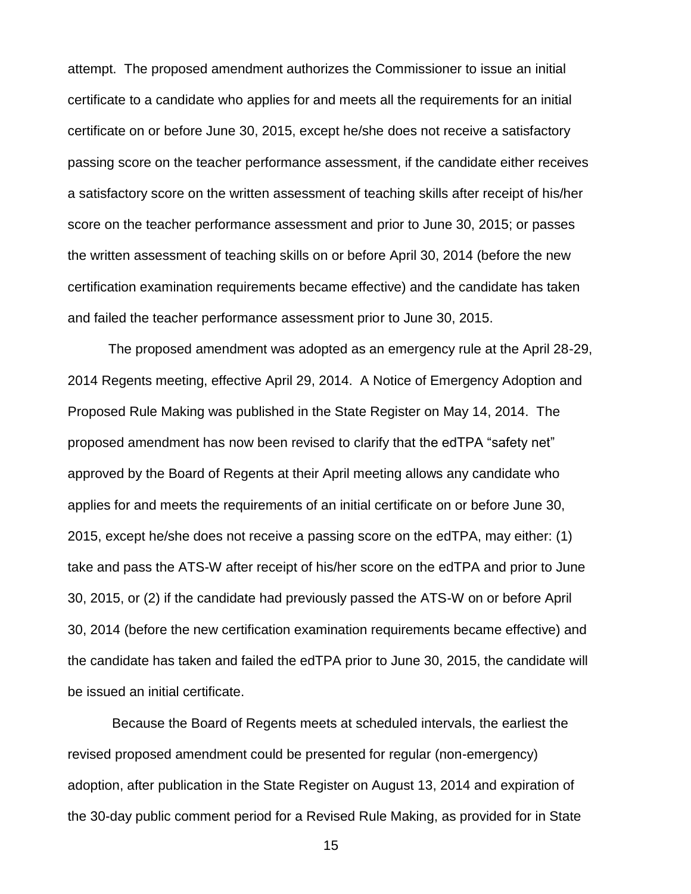attempt. The proposed amendment authorizes the Commissioner to issue an initial certificate to a candidate who applies for and meets all the requirements for an initial certificate on or before June 30, 2015, except he/she does not receive a satisfactory passing score on the teacher performance assessment, if the candidate either receives a satisfactory score on the written assessment of teaching skills after receipt of his/her score on the teacher performance assessment and prior to June 30, 2015; or passes the written assessment of teaching skills on or before April 30, 2014 (before the new certification examination requirements became effective) and the candidate has taken and failed the teacher performance assessment prior to June 30, 2015.

The proposed amendment was adopted as an emergency rule at the April 28-29, 2014 Regents meeting, effective April 29, 2014. A Notice of Emergency Adoption and Proposed Rule Making was published in the State Register on May 14, 2014. The proposed amendment has now been revised to clarify that the edTPA "safety net" approved by the Board of Regents at their April meeting allows any candidate who applies for and meets the requirements of an initial certificate on or before June 30, 2015, except he/she does not receive a passing score on the edTPA, may either: (1) take and pass the ATS-W after receipt of his/her score on the edTPA and prior to June 30, 2015, or (2) if the candidate had previously passed the ATS-W on or before April 30, 2014 (before the new certification examination requirements became effective) and the candidate has taken and failed the edTPA prior to June 30, 2015, the candidate will be issued an initial certificate.

Because the Board of Regents meets at scheduled intervals, the earliest the revised proposed amendment could be presented for regular (non-emergency) adoption, after publication in the State Register on August 13, 2014 and expiration of the 30-day public comment period for a Revised Rule Making, as provided for in State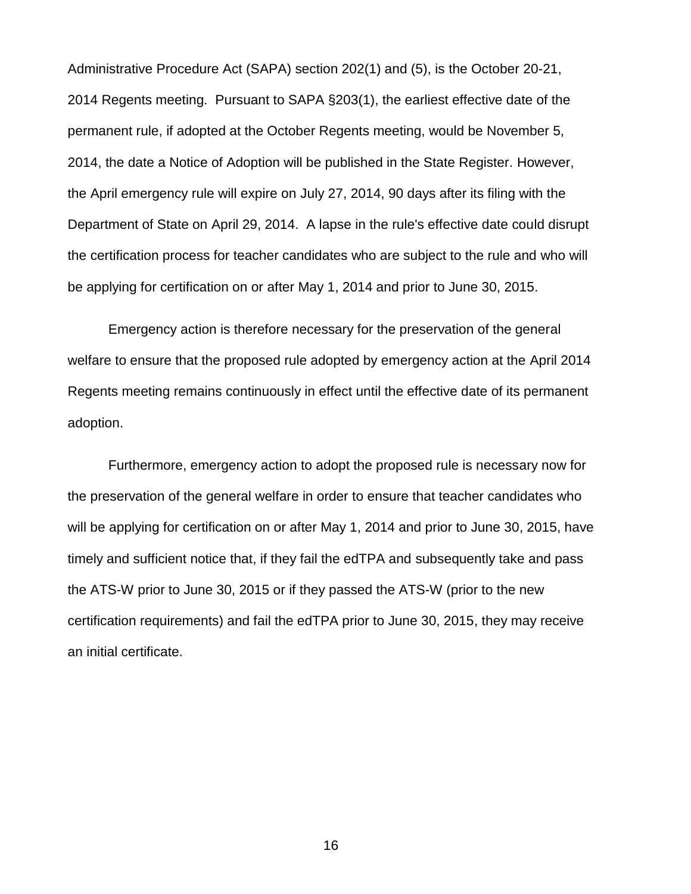Administrative Procedure Act (SAPA) section 202(1) and (5), is the October 20-21, 2014 Regents meeting. Pursuant to SAPA §203(1), the earliest effective date of the permanent rule, if adopted at the October Regents meeting, would be November 5, 2014, the date a Notice of Adoption will be published in the State Register. However, the April emergency rule will expire on July 27, 2014, 90 days after its filing with the Department of State on April 29, 2014. A lapse in the rule's effective date could disrupt the certification process for teacher candidates who are subject to the rule and who will be applying for certification on or after May 1, 2014 and prior to June 30, 2015.

Emergency action is therefore necessary for the preservation of the general welfare to ensure that the proposed rule adopted by emergency action at the April 2014 Regents meeting remains continuously in effect until the effective date of its permanent adoption.

Furthermore, emergency action to adopt the proposed rule is necessary now for the preservation of the general welfare in order to ensure that teacher candidates who will be applying for certification on or after May 1, 2014 and prior to June 30, 2015, have timely and sufficient notice that, if they fail the edTPA and subsequently take and pass the ATS-W prior to June 30, 2015 or if they passed the ATS-W (prior to the new certification requirements) and fail the edTPA prior to June 30, 2015, they may receive an initial certificate.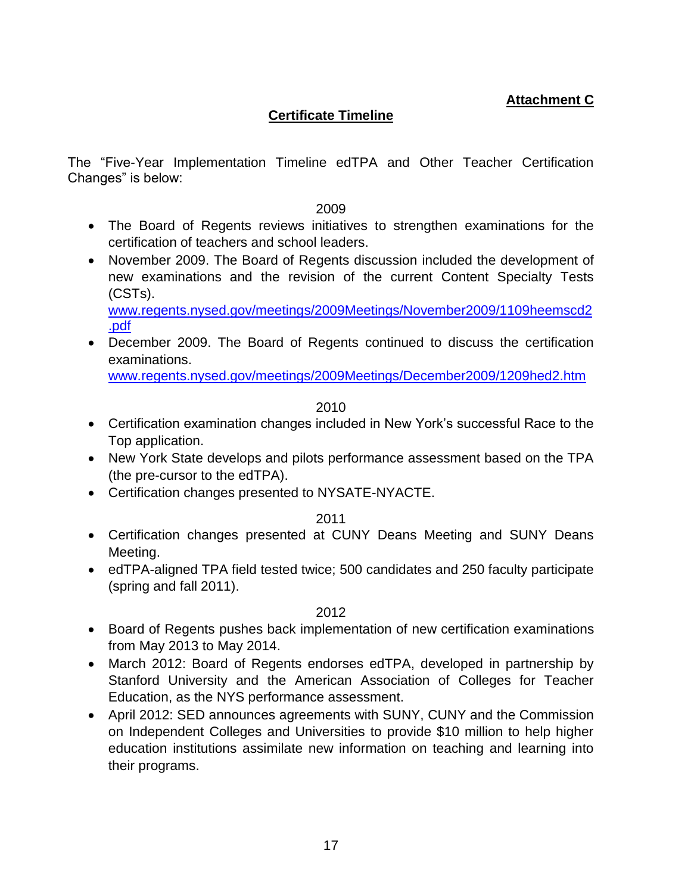**Attachment C**

# **Certificate Timeline**

The "Five-Year Implementation Timeline edTPA and Other Teacher Certification Changes" is below:

2009

- The Board of Regents reviews initiatives to strengthen examinations for the certification of teachers and school leaders.
- November 2009. The Board of Regents discussion included the development of new examinations and the revision of the current Content Specialty Tests (CSTs).

[www.regents.nysed.gov/meetings/2009Meetings/November2009/1109heemscd2](http://www.regents.nysed.gov/meetings/2009Meetings/November2009/1109heemscd2.pdf) [.pdf](http://www.regents.nysed.gov/meetings/2009Meetings/November2009/1109heemscd2.pdf)

 December 2009. The Board of Regents continued to discuss the certification examinations.

[www.regents.nysed.gov/meetings/2009Meetings/December2009/1209hed2.htm](http://www.regents.nysed.gov/meetings/2009Meetings/December2009/1209hed2.htm)

2010

- Certification examination changes included in New York's successful Race to the Top application.
- New York State develops and pilots performance assessment based on the TPA (the pre-cursor to the edTPA).
- Certification changes presented to NYSATE-NYACTE.

2011

- Certification changes presented at CUNY Deans Meeting and SUNY Deans Meeting.
- edTPA-aligned TPA field tested twice; 500 candidates and 250 faculty participate (spring and fall 2011).

- Board of Regents pushes back implementation of new certification examinations from May 2013 to May 2014.
- March 2012: Board of Regents endorses edTPA, developed in partnership by Stanford University and the American Association of Colleges for Teacher Education, as the NYS performance assessment.
- April 2012: SED announces agreements with SUNY, CUNY and the Commission on Independent Colleges and Universities to provide \$10 million to help higher education institutions assimilate new information on teaching and learning into their programs.